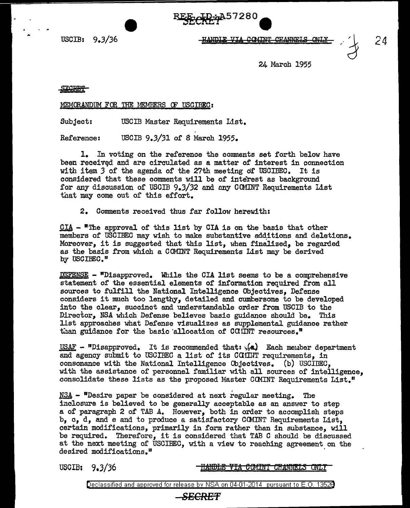USCIB: 9.3/36

UANDIR VTA

 $\bullet$ 

~ci%<f572Ba

24 March 1955

## STCRET-

MEMQRANDUM FOR THE MEMBERS CF USCIBEC:

Subject: USCIB Master Requirements List.

Reference: USCIB 9.3/31 of 8 March 1955.

1. In voting on the reference the comments set forth below have been received and are circulated as a matter of interest in connection with item *3* of the agenda of the 27th meeting of USOIBEC. It is considered that these comments will be of interest as background for any discussion of USCIB  $9.3/32$  and any CCMINT Requirements List that may come out of this effort.

2. Comments received thus far follow herewith:

 $CIA$  -  $u_{\text{The}$  approval of this list by CIA is on the basis that other</u> members of USCIBEC may wish to make substantive additions and deletions. Moreover, it is suggested that this list, when finalized, be regarded as the basis from which a COMINT Requirements List may be derived by USCIBEC."

 $DEFes$ ENSE - "Disapproved. While the CIA list seems to be a comprehensive statement of the essential elements of information required from all sources to fulfill the National Intelligence Objectives, Defense considers it much too lengthy, detailed and cumbersome to be developed into the clear, succinct and understandable order from USCIB to the Director, NSA which Defense believes basic guidance should be. This llst approaches what Defense visualizes as supplemental guidance rather than guidance for the basic allocation of CCIINT resources."

 $\text{USAF}$  - "Disapproved. It is recommended that:  $\sqrt{a}$ ) Each member department and agency submit to USCIBEC a list of its COIIHT requirements, in consonance with the National Intelligence Objectives. (b) USCIDEC, with the assistance of personnel familiar with all sources of intelligence, consolidate these lists as the proposed Master CCMINT Requirements List."

 $NSA -$  "Desire paper be considered at next regular meeting. The inclosure is believed to be generally acceptable as an answer to step a of paragraph 2 of TAB A. However, both in order to accomplish steps b, c, d, and e and to produce a satisfactory COMINT Requirements List, certain modifications, primarily in form rather than in substance, will be required. Therefore, it *is* considered that TAB C should be discussed at the next meeting of USCIBEC, with a view to reaching agreement on the desired modifications."

USCIB: 9,J/36

<u>HANDLE VIA COMINT CHANNELS ONLY</u>

Declassified and approved for release by NSA on 04-01-2014 pursuant to E. 0. 1352B

## **SECRET**

*24*